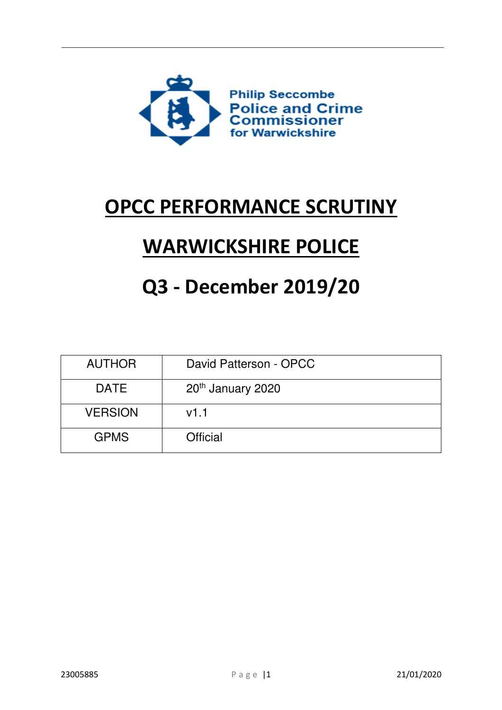

## OPCC PERFORMANCE SCRUTINY

# WARWICKSHIRE POLICE

## Q3 - December 2019/20

| <b>AUTHOR</b>  | David Patterson - OPCC        |  |  |  |
|----------------|-------------------------------|--|--|--|
| <b>DATE</b>    | 20 <sup>th</sup> January 2020 |  |  |  |
| <b>VERSION</b> | v1.1                          |  |  |  |
| <b>GPMS</b>    | <b>Official</b>               |  |  |  |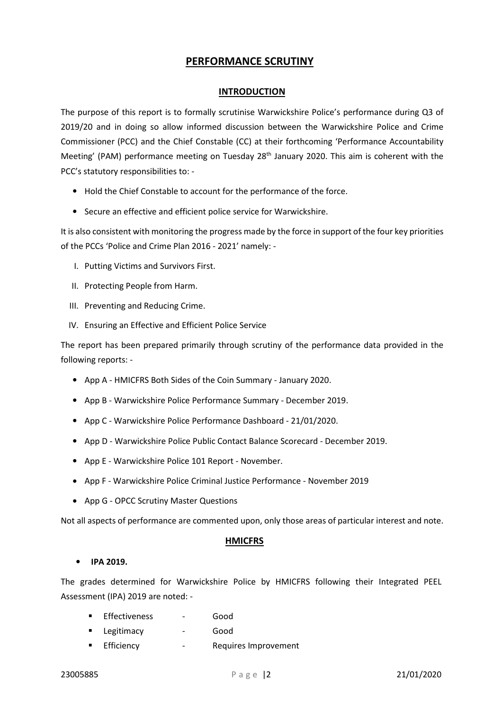## PERFORMANCE SCRUTINY

## INTRODUCTION

The purpose of this report is to formally scrutinise Warwickshire Police's performance during Q3 of 2019/20 and in doing so allow informed discussion between the Warwickshire Police and Crime Commissioner (PCC) and the Chief Constable (CC) at their forthcoming 'Performance Accountability Meeting' (PAM) performance meeting on Tuesday 28<sup>th</sup> January 2020. This aim is coherent with the PCC's statutory responsibilities to: -

- Hold the Chief Constable to account for the performance of the force.
- Secure an effective and efficient police service for Warwickshire.

It is also consistent with monitoring the progress made by the force in support of the four key priorities of the PCCs 'Police and Crime Plan 2016 - 2021' namely: -

- I. Putting Victims and Survivors First.
- II. Protecting People from Harm.
- III. Preventing and Reducing Crime.
- IV. Ensuring an Effective and Efficient Police Service

The report has been prepared primarily through scrutiny of the performance data provided in the following reports: -

- App A HMICFRS Both Sides of the Coin Summary January 2020.
- App B Warwickshire Police Performance Summary December 2019.
- App C Warwickshire Police Performance Dashboard 21/01/2020.
- App D Warwickshire Police Public Contact Balance Scorecard December 2019.
- App E Warwickshire Police 101 Report November.
- App F Warwickshire Police Criminal Justice Performance November 2019
- App G OPCC Scrutiny Master Questions

Not all aspects of performance are commented upon, only those areas of particular interest and note.

#### HMICFRS

#### • IPA 2019.

The grades determined for Warwickshire Police by HMICFRS following their Integrated PEEL Assessment (IPA) 2019 are noted: -

- **Effectiveness** Good
- **Example 2** Legitimacy **Conducts** Good
- Efficiency Requires Improvement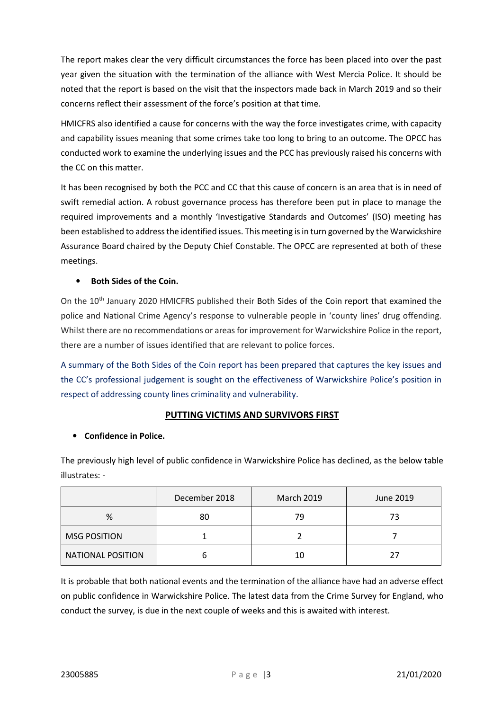The report makes clear the very difficult circumstances the force has been placed into over the past year given the situation with the termination of the alliance with West Mercia Police. It should be noted that the report is based on the visit that the inspectors made back in March 2019 and so their concerns reflect their assessment of the force's position at that time.

HMICFRS also identified a cause for concerns with the way the force investigates crime, with capacity and capability issues meaning that some crimes take too long to bring to an outcome. The OPCC has conducted work to examine the underlying issues and the PCC has previously raised his concerns with the CC on this matter.

It has been recognised by both the PCC and CC that this cause of concern is an area that is in need of swift remedial action. A robust governance process has therefore been put in place to manage the required improvements and a monthly 'Investigative Standards and Outcomes' (ISO) meeting has been established to address the identified issues. This meeting is in turn governed by the Warwickshire Assurance Board chaired by the Deputy Chief Constable. The OPCC are represented at both of these meetings.

## • Both Sides of the Coin.

On the 10<sup>th</sup> January 2020 HMICFRS published their Both Sides of the Coin report that examined the police and National Crime Agency's response to vulnerable people in 'county lines' drug offending. Whilst there are no recommendations or areas for improvement for Warwickshire Police in the report, there are a number of issues identified that are relevant to police forces.

A summary of the Both Sides of the Coin report has been prepared that captures the key issues and the CC's professional judgement is sought on the effectiveness of Warwickshire Police's position in respect of addressing county lines criminality and vulnerability.

## PUTTING VICTIMS AND SURVIVORS FIRST

## • Confidence in Police.

The previously high level of public confidence in Warwickshire Police has declined, as the below table illustrates: -

|                          | December 2018<br><b>March 2019</b> |    | June 2019 |  |
|--------------------------|------------------------------------|----|-----------|--|
| %                        | 80                                 | 79 | 73        |  |
| <b>MSG POSITION</b>      |                                    |    |           |  |
| <b>NATIONAL POSITION</b> |                                    | 10 |           |  |

It is probable that both national events and the termination of the alliance have had an adverse effect on public confidence in Warwickshire Police. The latest data from the Crime Survey for England, who conduct the survey, is due in the next couple of weeks and this is awaited with interest.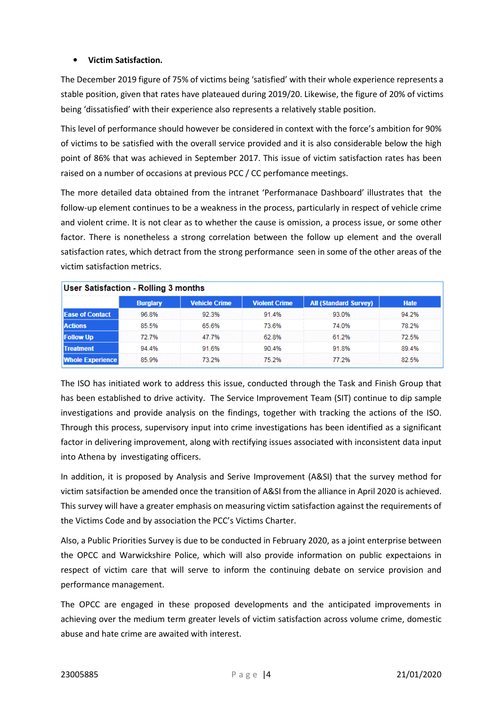## • Victim Satisfaction.

The December 2019 figure of 75% of victims being 'satisfied' with their whole experience represents a stable position, given that rates have plateaued during 2019/20. Likewise, the figure of 20% of victims being 'dissatisfied' with their experience also represents a relatively stable position.

This level of performance should however be considered in context with the force's ambition for 90% of victims to be satisfied with the overall service provided and it is also considerable below the high point of 86% that was achieved in September 2017. This issue of victim satisfaction rates has been raised on a number of occasions at previous PCC / CC perfomance meetings.

The more detailed data obtained from the intranet 'Performanace Dashboard' illustrates that the follow-up element continues to be a weakness in the process, particularly in respect of vehicle crime and violent crime. It is not clear as to whether the cause is omission, a process issue, or some other factor. There is nonetheless a strong correlation between the follow up element and the overall satisfaction rates, which detract from the strong performance seen in some of the other areas of the victim satisfaction metrics.

| User Satisfaction - Rolling 3 months |                 |                      |                      |                              |             |  |  |
|--------------------------------------|-----------------|----------------------|----------------------|------------------------------|-------------|--|--|
|                                      | <b>Burglary</b> | <b>Vehicle Crime</b> | <b>Violent Crime</b> | <b>All (Standard Survey)</b> | <b>Hate</b> |  |  |
| <b>Ease of Contact</b>               | 96.8%           | 92.3%                | 91.4%                | 93.0%                        | 94.2%       |  |  |
| <b>Actions</b>                       | 85.5%           | 65.6%                | 73.6%                | 74.0%                        | 78.2%       |  |  |
| <b>Follow Up</b>                     | 72.7%           | 47.7%                | 62.8%                | 61.2%                        | 72.5%       |  |  |
| <b>ITreatment</b>                    | 94.4%           | 91.6%                | 90.4%                | 91.8%                        | 89.4%       |  |  |
| <b>Whole Experience</b>              | 85.9%           | 73.2%                | 75.2%                | 77.2%                        | 82.5%       |  |  |

The ISO has initiated work to address this issue, conducted through the Task and Finish Group that has been established to drive activity. The Service Improvement Team (SIT) continue to dip sample investigations and provide analysis on the findings, together with tracking the actions of the ISO. Through this process, supervisory input into crime investigations has been identified as a significant factor in delivering improvement, along with rectifying issues associated with inconsistent data input into Athena by investigating officers.

In addition, it is proposed by Analysis and Serive Improvement (A&SI) that the survey method for victim satsifaction be amended once the transition of A&SI from the alliance in April 2020 is achieved. This survey will have a greater emphasis on measuring victim satisfaction against the requirements of the Victims Code and by association the PCC's Victims Charter.

Also, a Public Priorities Survey is due to be conducted in February 2020, as a joint enterprise between the OPCC and Warwickshire Police, which will also provide information on public expectaions in respect of victim care that will serve to inform the continuing debate on service provision and performance management.

The OPCC are engaged in these proposed developments and the anticipated improvements in achieving over the medium term greater levels of victim satisfaction across volume crime, domestic abuse and hate crime are awaited with interest.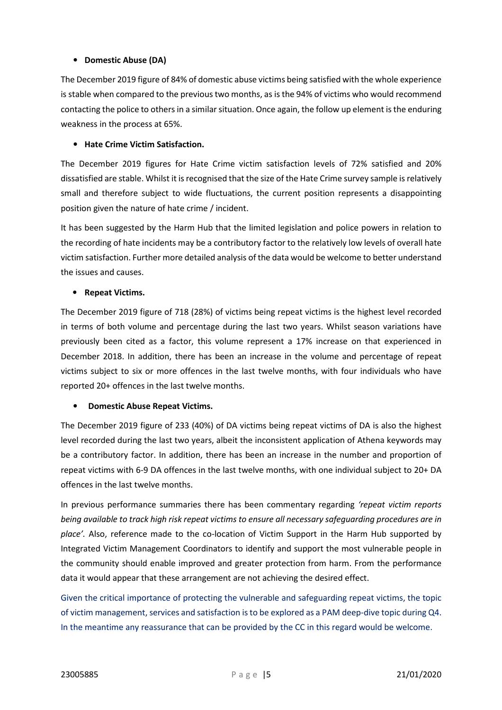## • Domestic Abuse (DA)

The December 2019 figure of 84% of domestic abuse victims being satisfied with the whole experience is stable when compared to the previous two months, as is the 94% of victims who would recommend contacting the police to others in a similar situation. Once again, the follow up element is the enduring weakness in the process at 65%.

#### • Hate Crime Victim Satisfaction.

The December 2019 figures for Hate Crime victim satisfaction levels of 72% satisfied and 20% dissatisfied are stable. Whilst it is recognised that the size of the Hate Crime survey sample is relatively small and therefore subject to wide fluctuations, the current position represents a disappointing position given the nature of hate crime / incident.

It has been suggested by the Harm Hub that the limited legislation and police powers in relation to the recording of hate incidents may be a contributory factor to the relatively low levels of overall hate victim satisfaction. Further more detailed analysis of the data would be welcome to better understand the issues and causes.

#### • Repeat Victims.

The December 2019 figure of 718 (28%) of victims being repeat victims is the highest level recorded in terms of both volume and percentage during the last two years. Whilst season variations have previously been cited as a factor, this volume represent a 17% increase on that experienced in December 2018. In addition, there has been an increase in the volume and percentage of repeat victims subject to six or more offences in the last twelve months, with four individuals who have reported 20+ offences in the last twelve months.

#### • Domestic Abuse Repeat Victims.

The December 2019 figure of 233 (40%) of DA victims being repeat victims of DA is also the highest level recorded during the last two years, albeit the inconsistent application of Athena keywords may be a contributory factor. In addition, there has been an increase in the number and proportion of repeat victims with 6-9 DA offences in the last twelve months, with one individual subject to 20+ DA offences in the last twelve months.

In previous performance summaries there has been commentary regarding 'repeat victim reports being available to track high risk repeat victims to ensure all necessary safeguarding procedures are in place'. Also, reference made to the co-location of Victim Support in the Harm Hub supported by Integrated Victim Management Coordinators to identify and support the most vulnerable people in the community should enable improved and greater protection from harm. From the performance data it would appear that these arrangement are not achieving the desired effect.

Given the critical importance of protecting the vulnerable and safeguarding repeat victims, the topic of victim management, services and satisfaction is to be explored as a PAM deep-dive topic during Q4. In the meantime any reassurance that can be provided by the CC in this regard would be welcome.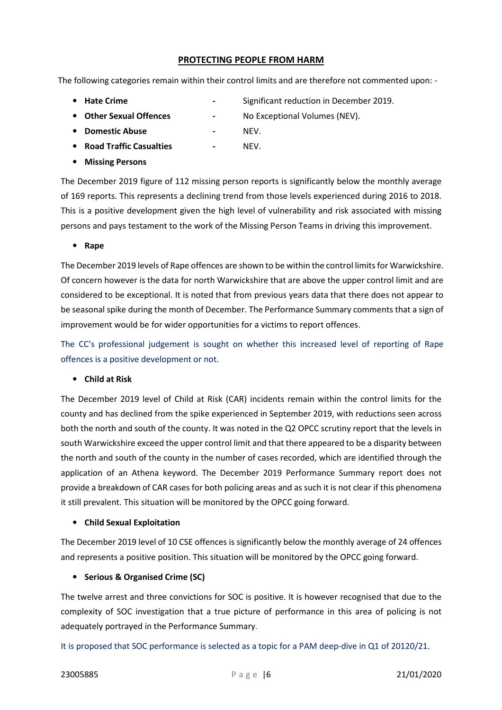## PROTECTING PEOPLE FROM HARM

The following categories remain within their control limits and are therefore not commented upon: -

- 
- Hate Crime **Crime 1988 1988 1988 1998 1998 1998 1998 1998 1999 1999 1999 1999 1999 1999 1999 1999 1999 1999 1999 1999 1999 1999 1999 1999 1999 1999 1999 1999 1999**
- Other Sexual Offences No Exceptional Volumes (NEV).
	-
- Domestic Abuse NEV.
- Road Traffic Casualties NEV.
- Missing Persons

The December 2019 figure of 112 missing person reports is significantly below the monthly average of 169 reports. This represents a declining trend from those levels experienced during 2016 to 2018. This is a positive development given the high level of vulnerability and risk associated with missing persons and pays testament to the work of the Missing Person Teams in driving this improvement.

#### • Rape

The December 2019 levels of Rape offences are shown to be within the control limits for Warwickshire. Of concern however is the data for north Warwickshire that are above the upper control limit and are considered to be exceptional. It is noted that from previous years data that there does not appear to be seasonal spike during the month of December. The Performance Summary comments that a sign of improvement would be for wider opportunities for a victims to report offences.

The CC's professional judgement is sought on whether this increased level of reporting of Rape offences is a positive development or not.

#### • Child at Risk

The December 2019 level of Child at Risk (CAR) incidents remain within the control limits for the county and has declined from the spike experienced in September 2019, with reductions seen across both the north and south of the county. It was noted in the Q2 OPCC scrutiny report that the levels in south Warwickshire exceed the upper control limit and that there appeared to be a disparity between the north and south of the county in the number of cases recorded, which are identified through the application of an Athena keyword. The December 2019 Performance Summary report does not provide a breakdown of CAR cases for both policing areas and as such it is not clear if this phenomena it still prevalent. This situation will be monitored by the OPCC going forward.

#### • Child Sexual Exploitation

The December 2019 level of 10 CSE offences is significantly below the monthly average of 24 offences and represents a positive position. This situation will be monitored by the OPCC going forward.

#### • Serious & Organised Crime (SC)

The twelve arrest and three convictions for SOC is positive. It is however recognised that due to the complexity of SOC investigation that a true picture of performance in this area of policing is not adequately portrayed in the Performance Summary.

It is proposed that SOC performance is selected as a topic for a PAM deep-dive in Q1 of 20120/21.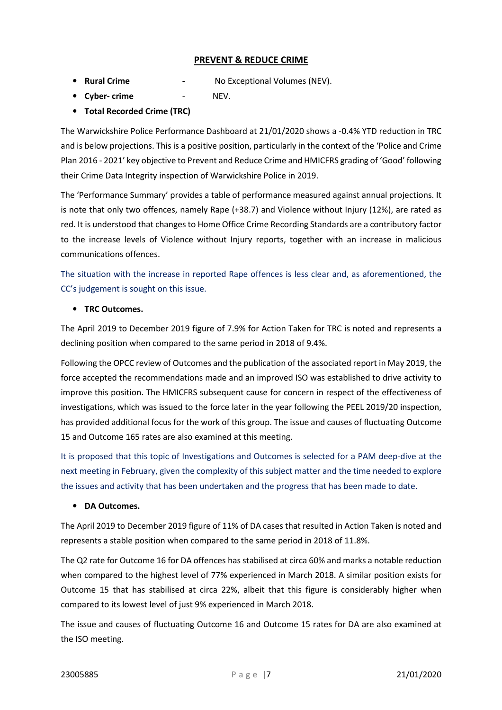## PREVENT & REDUCE CRIME

• Rural Crime - No Exceptional Volumes (NEV).

- Cyber- crime NEV.
- Total Recorded Crime (TRC)

The Warwickshire Police Performance Dashboard at 21/01/2020 shows a -0.4% YTD reduction in TRC and is below projections. This is a positive position, particularly in the context of the 'Police and Crime Plan 2016 - 2021' key objective to Prevent and Reduce Crime and HMICFRS grading of 'Good' following their Crime Data Integrity inspection of Warwickshire Police in 2019.

The 'Performance Summary' provides a table of performance measured against annual projections. It is note that only two offences, namely Rape (+38.7) and Violence without Injury (12%), are rated as red. It is understood that changes to Home Office Crime Recording Standards are a contributory factor to the increase levels of Violence without Injury reports, together with an increase in malicious communications offences.

The situation with the increase in reported Rape offences is less clear and, as aforementioned, the CC's judgement is sought on this issue.

## • TRC Outcomes.

The April 2019 to December 2019 figure of 7.9% for Action Taken for TRC is noted and represents a declining position when compared to the same period in 2018 of 9.4%.

Following the OPCC review of Outcomes and the publication of the associated report in May 2019, the force accepted the recommendations made and an improved ISO was established to drive activity to improve this position. The HMICFRS subsequent cause for concern in respect of the effectiveness of investigations, which was issued to the force later in the year following the PEEL 2019/20 inspection, has provided additional focus for the work of this group. The issue and causes of fluctuating Outcome 15 and Outcome 165 rates are also examined at this meeting.

It is proposed that this topic of Investigations and Outcomes is selected for a PAM deep-dive at the next meeting in February, given the complexity of this subject matter and the time needed to explore the issues and activity that has been undertaken and the progress that has been made to date.

#### • DA Outcomes.

The April 2019 to December 2019 figure of 11% of DA cases that resulted in Action Taken is noted and represents a stable position when compared to the same period in 2018 of 11.8%.

The Q2 rate for Outcome 16 for DA offences has stabilised at circa 60% and marks a notable reduction when compared to the highest level of 77% experienced in March 2018. A similar position exists for Outcome 15 that has stabilised at circa 22%, albeit that this figure is considerably higher when compared to its lowest level of just 9% experienced in March 2018.

The issue and causes of fluctuating Outcome 16 and Outcome 15 rates for DA are also examined at the ISO meeting.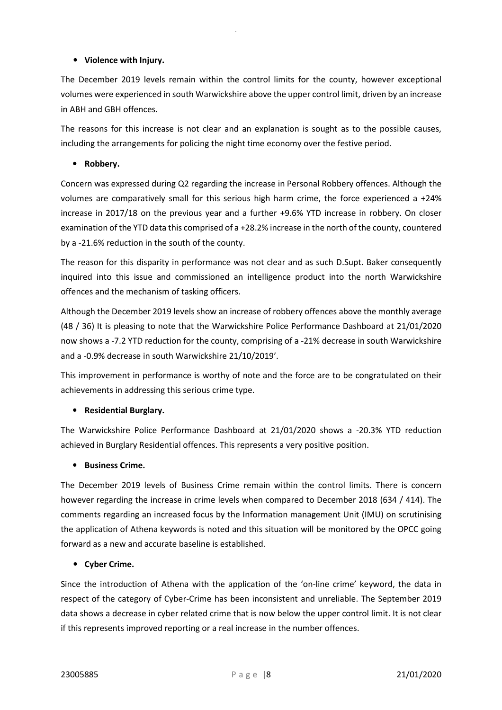## • Violence with Injury.

The December 2019 levels remain within the control limits for the county, however exceptional volumes were experienced in south Warwickshire above the upper control limit, driven by an increase in ABH and GBH offences.

The reasons for this increase is not clear and an explanation is sought as to the possible causes, including the arrangements for policing the night time economy over the festive period.

## • Robbery.

Concern was expressed during Q2 regarding the increase in Personal Robbery offences. Although the volumes are comparatively small for this serious high harm crime, the force experienced a +24% increase in 2017/18 on the previous year and a further +9.6% YTD increase in robbery. On closer examination of the YTD data this comprised of a +28.2% increase in the north of the county, countered by a -21.6% reduction in the south of the county.

The reason for this disparity in performance was not clear and as such D.Supt. Baker consequently inquired into this issue and commissioned an intelligence product into the north Warwickshire offences and the mechanism of tasking officers.

Although the December 2019 levels show an increase of robbery offences above the monthly average (48 / 36) It is pleasing to note that the Warwickshire Police Performance Dashboard at 21/01/2020 now shows a -7.2 YTD reduction for the county, comprising of a -21% decrease in south Warwickshire and a -0.9% decrease in south Warwickshire 21/10/2019'.

This improvement in performance is worthy of note and the force are to be congratulated on their achievements in addressing this serious crime type.

#### • Residential Burglary.

The Warwickshire Police Performance Dashboard at 21/01/2020 shows a -20.3% YTD reduction achieved in Burglary Residential offences. This represents a very positive position.

## • Business Crime.

The December 2019 levels of Business Crime remain within the control limits. There is concern however regarding the increase in crime levels when compared to December 2018 (634 / 414). The comments regarding an increased focus by the Information management Unit (IMU) on scrutinising the application of Athena keywords is noted and this situation will be monitored by the OPCC going forward as a new and accurate baseline is established.

#### • Cyber Crime.

Since the introduction of Athena with the application of the 'on-line crime' keyword, the data in respect of the category of Cyber-Crime has been inconsistent and unreliable. The September 2019 data shows a decrease in cyber related crime that is now below the upper control limit. It is not clear if this represents improved reporting or a real increase in the number offences.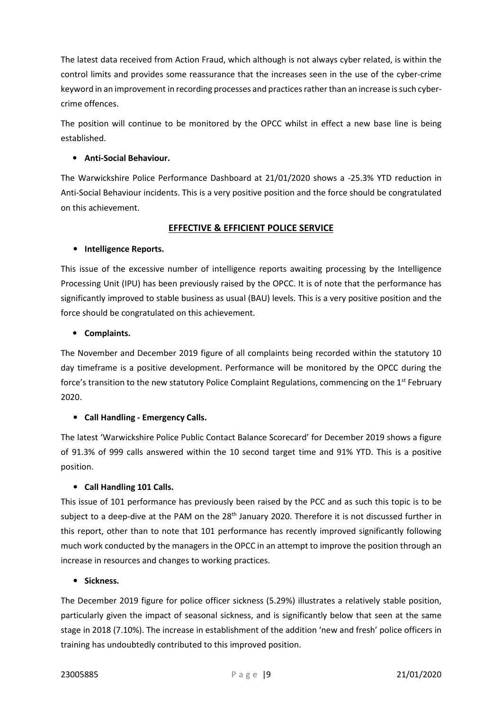The latest data received from Action Fraud, which although is not always cyber related, is within the control limits and provides some reassurance that the increases seen in the use of the cyber-crime keyword in an improvement in recording processes and practices rather than an increase is such cybercrime offences.

The position will continue to be monitored by the OPCC whilst in effect a new base line is being established.

## • Anti-Social Behaviour.

The Warwickshire Police Performance Dashboard at 21/01/2020 shows a -25.3% YTD reduction in Anti-Social Behaviour incidents. This is a very positive position and the force should be congratulated on this achievement.

## EFFECTIVE & EFFICIENT POLICE SERVICE

## • Intelligence Reports.

This issue of the excessive number of intelligence reports awaiting processing by the Intelligence Processing Unit (IPU) has been previously raised by the OPCC. It is of note that the performance has significantly improved to stable business as usual (BAU) levels. This is a very positive position and the force should be congratulated on this achievement.

## • Complaints.

The November and December 2019 figure of all complaints being recorded within the statutory 10 day timeframe is a positive development. Performance will be monitored by the OPCC during the force's transition to the new statutory Police Complaint Regulations, commencing on the 1<sup>st</sup> February 2020.

## • Call Handling - Emergency Calls.

The latest 'Warwickshire Police Public Contact Balance Scorecard' for December 2019 shows a figure of 91.3% of 999 calls answered within the 10 second target time and 91% YTD. This is a positive position.

## • Call Handling 101 Calls.

This issue of 101 performance has previously been raised by the PCC and as such this topic is to be subject to a deep-dive at the PAM on the 28<sup>th</sup> January 2020. Therefore it is not discussed further in this report, other than to note that 101 performance has recently improved significantly following much work conducted by the managers in the OPCC in an attempt to improve the position through an increase in resources and changes to working practices.

## • Sickness.

The December 2019 figure for police officer sickness (5.29%) illustrates a relatively stable position, particularly given the impact of seasonal sickness, and is significantly below that seen at the same stage in 2018 (7.10%). The increase in establishment of the addition 'new and fresh' police officers in training has undoubtedly contributed to this improved position.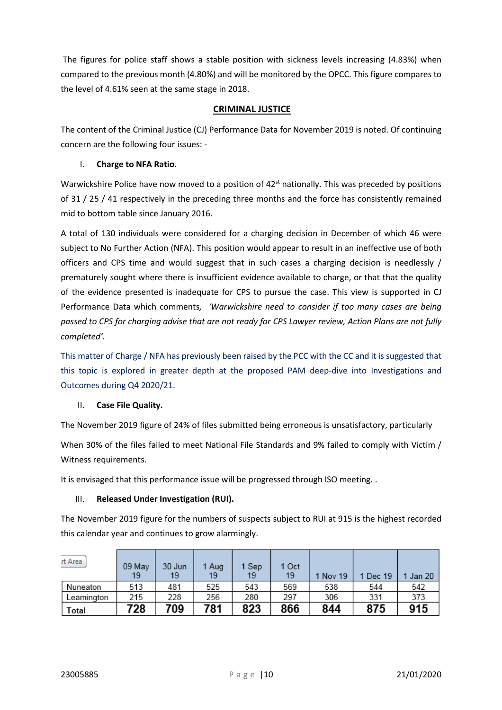The figures for police staff shows a stable position with sickness levels increasing (4.83%) when compared to the previous month (4.80%) and will be monitored by the OPCC. This figure compares to the level of 4.61% seen at the same stage in 2018.

## CRIMINAL JUSTICE

The content of the Criminal Justice (CJ) Performance Data for November 2019 is noted. Of continuing concern are the following four issues: -

## I. Charge to NFA Ratio.

Warwickshire Police have now moved to a position of  $42<sup>st</sup>$  nationally. This was preceded by positions of 31 / 25 / 41 respectively in the preceding three months and the force has consistently remained mid to bottom table since January 2016.

A total of 130 individuals were considered for a charging decision in December of which 46 were subject to No Further Action (NFA). This position would appear to result in an ineffective use of both officers and CPS time and would suggest that in such cases a charging decision is needlessly / prematurely sought where there is insufficient evidence available to charge, or that that the quality of the evidence presented is inadequate for CPS to pursue the case. This view is supported in CJ Performance Data which comments, 'Warwickshire need to consider if too many cases are being passed to CPS for charging advise that are not ready for CPS Lawyer review, Action Plans are not fully completed'.

This matter of Charge / NFA has previously been raised by the PCC with the CC and it is suggested that this topic is explored in greater depth at the proposed PAM deep-dive into Investigations and Outcomes during Q4 2020/21.

#### II. Case File Quality.

The November 2019 figure of 24% of files submitted being erroneous is unsatisfactory, particularly

When 30% of the files failed to meet National File Standards and 9% failed to comply with Victim / Witness requirements.

It is envisaged that this performance issue will be progressed through ISO meeting. .

#### III. Released Under Investigation (RUI).

The November 2019 figure for the numbers of suspects subject to RUI at 915 is the highest recorded this calendar year and continues to grow alarmingly.

| rt Area    | 09 May<br>19 | 30 Jun<br>19 | 1 Aug<br>19 | 1 Sep<br>19 | 1 Oct<br>19 | 1 Nov 19 | 1 Dec 19 | Jan 20 |
|------------|--------------|--------------|-------------|-------------|-------------|----------|----------|--------|
| Nuneaton   | 513          | 481          | 525         | 543         | 569         | 538      | 544      | 542    |
| Leamington | 215          | 228          | 256         | 280         | 297         | 306      | 331      | 373    |
| Total      | 728          | 709          | 781         | 823         | 866         | 844      | 875      | 915    |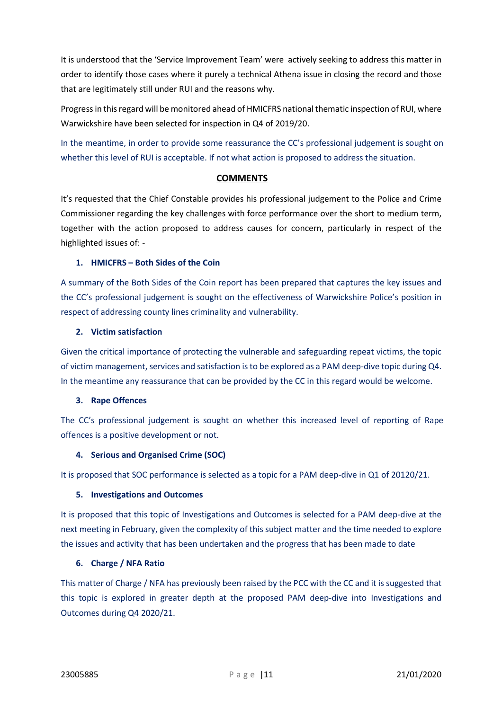It is understood that the 'Service Improvement Team' were actively seeking to address this matter in order to identify those cases where it purely a technical Athena issue in closing the record and those that are legitimately still under RUI and the reasons why.

Progress in this regard will be monitored ahead of HMICFRS national thematic inspection of RUI, where Warwickshire have been selected for inspection in Q4 of 2019/20.

In the meantime, in order to provide some reassurance the CC's professional judgement is sought on whether this level of RUI is acceptable. If not what action is proposed to address the situation.

## **COMMENTS**

It's requested that the Chief Constable provides his professional judgement to the Police and Crime Commissioner regarding the key challenges with force performance over the short to medium term, together with the action proposed to address causes for concern, particularly in respect of the highlighted issues of: -

## 1. HMICFRS – Both Sides of the Coin

A summary of the Both Sides of the Coin report has been prepared that captures the key issues and the CC's professional judgement is sought on the effectiveness of Warwickshire Police's position in respect of addressing county lines criminality and vulnerability.

## 2. Victim satisfaction

Given the critical importance of protecting the vulnerable and safeguarding repeat victims, the topic of victim management, services and satisfaction is to be explored as a PAM deep-dive topic during Q4. In the meantime any reassurance that can be provided by the CC in this regard would be welcome.

#### 3. Rape Offences

The CC's professional judgement is sought on whether this increased level of reporting of Rape offences is a positive development or not.

## 4. Serious and Organised Crime (SOC)

It is proposed that SOC performance is selected as a topic for a PAM deep-dive in Q1 of 20120/21.

#### 5. Investigations and Outcomes

It is proposed that this topic of Investigations and Outcomes is selected for a PAM deep-dive at the next meeting in February, given the complexity of this subject matter and the time needed to explore the issues and activity that has been undertaken and the progress that has been made to date

## 6. Charge / NFA Ratio

This matter of Charge / NFA has previously been raised by the PCC with the CC and it is suggested that this topic is explored in greater depth at the proposed PAM deep-dive into Investigations and Outcomes during Q4 2020/21.